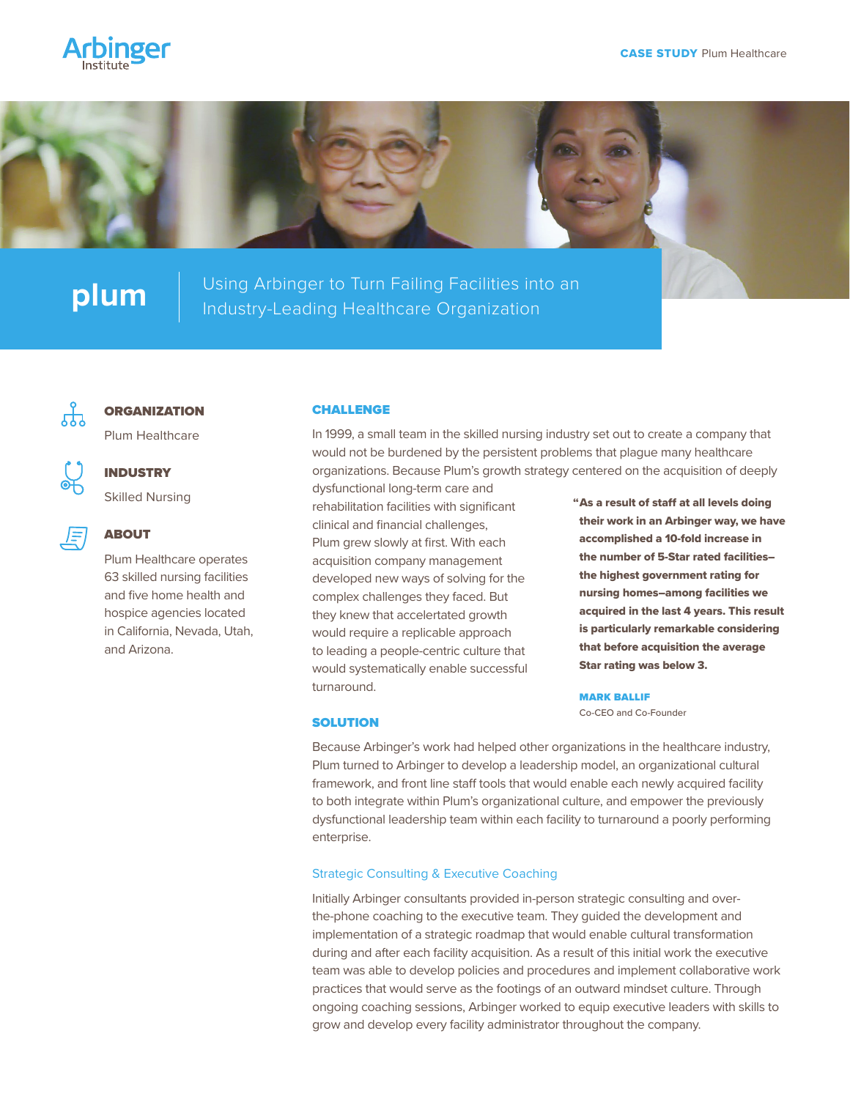



**plum** | Using Arbinger to Turn Failing Facilities into an <br>Industry-Leading Healthcare Organization



#### **ORGANIZATION**

Plum Healthcare

Skilled Nursing

INDUSTRY

# 原

## ABOUT

Plum Healthcare operates 63 skilled nursing facilities and five home health and hospice agencies located in California, Nevada, Utah, and Arizona.

#### CHALLENGE

In 1999, a small team in the skilled nursing industry set out to create a company that would not be burdened by the persistent problems that plague many healthcare organizations. Because Plum's growth strategy centered on the acquisition of deeply

dysfunctional long-term care and rehabilitation facilities with significant clinical and financial challenges, Plum grew slowly at first. With each acquisition company management developed new ways of solving for the complex challenges they faced. But they knew that accelertated growth would require a replicable approach to leading a people-centric culture that would systematically enable successful turnaround.

"As a result of staff at all levels doing their work in an Arbinger way, we have accomplished a 10-fold increase in the number of 5-Star rated facilities– the highest government rating for nursing homes–among facilities we acquired in the last 4 years. This result is particularly remarkable considering that before acquisition the average Star rating was below 3.

MARK BALLIF Co-CEO and Co-Founder

#### **SOLUTION**

Because Arbinger's work had helped other organizations in the healthcare industry, Plum turned to Arbinger to develop a leadership model, an organizational cultural framework, and front line staff tools that would enable each newly acquired facility to both integrate within Plum's organizational culture, and empower the previously dysfunctional leadership team within each facility to turnaround a poorly performing enterprise.

### Strategic Consulting & Executive Coaching

Initially Arbinger consultants provided in-person strategic consulting and overthe-phone coaching to the executive team. They guided the development and implementation of a strategic roadmap that would enable cultural transformation during and after each facility acquisition. As a result of this initial work the executive team was able to develop policies and procedures and implement collaborative work practices that would serve as the footings of an outward mindset culture. Through ongoing coaching sessions, Arbinger worked to equip executive leaders with skills to grow and develop every facility administrator throughout the company.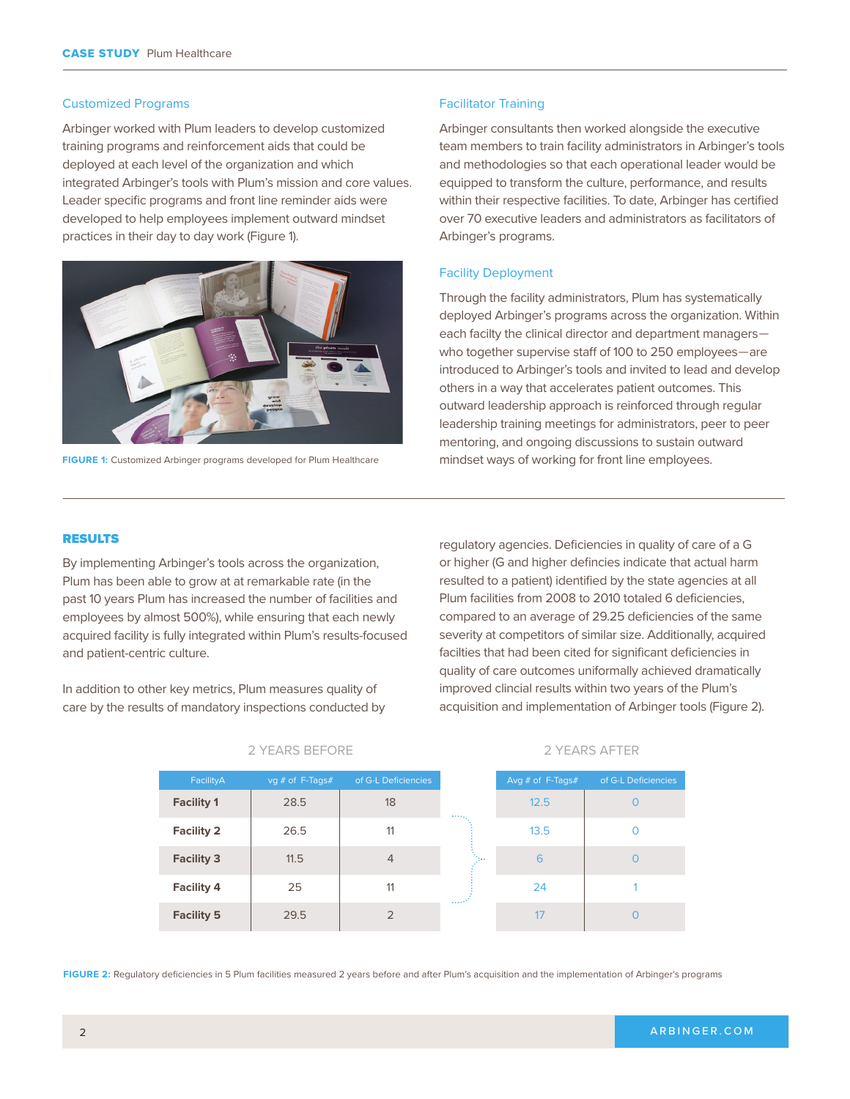#### Customized Programs

Arbinger worked with Plum leaders to develop customized training programs and reinforcement aids that could be deployed at each level of the organization and which integrated Arbinger's tools with Plum's mission and core values. Leader specific programs and front line reminder aids were developed to help employees implement outward mindset practices in their day to day work (Figure 1).



**FIGURE 1:** Customized Arbinger programs developed for Plum Healthcare

#### Facilitator Training

Arbinger consultants then worked alongside the executive team members to train facility administrators in Arbinger's tools and methodologies so that each operational leader would be equipped to transform the culture, performance, and results within their respective facilities. To date, Arbinger has certified over 70 executive leaders and administrators as facilitators of Arbinger's programs.

### Facility Deployment

Through the facility administrators, Plum has systematically deployed Arbinger's programs across the organization. Within each facilty the clinical director and department managers who together supervise staff of 100 to 250 employees—are introduced to Arbinger's tools and invited to lead and develop others in a way that accelerates patient outcomes. This outward leadership approach is reinforced through regular leadership training meetings for administrators, peer to peer mentoring, and ongoing discussions to sustain outward mindset ways of working for front line employees.

#### RESULTS

By implementing Arbinger's tools across the organization, Plum has been able to grow at at remarkable rate (in the past 10 years Plum has increased the number of facilities and employees by almost 500%), while ensuring that each newly acquired facility is fully integrated within Plum's results-focused and patient-centric culture.

In addition to other key metrics, Plum measures quality of care by the results of mandatory inspections conducted by regulatory agencies. Deficiencies in quality of care of a G or higher (G and higher defincies indicate that actual harm resulted to a patient) identified by the state agencies at all Plum facilities from 2008 to 2010 totaled 6 deficiencies, compared to an average of 29.25 deficiencies of the same severity at competitors of similar size. Additionally, acquired facilties that had been cited for significant deficiencies in quality of care outcomes uniformally achieved dramatically improved clincial results within two years of the Plum's acquisition and implementation of Arbinger tools (Figure 2).

| FacilityA         | $\log$ # of F-Tags# | of G-L Deficiencies |                | Avg $#$ of F-T |
|-------------------|---------------------|---------------------|----------------|----------------|
| <b>Facility 1</b> | 28.5                | 18                  |                | 12.5           |
| <b>Facility 2</b> | 26.5                | 11                  |                | 13.5           |
| <b>Facility 3</b> | 11.5                | $\overline{4}$      | he.            | 6              |
| <b>Facility 4</b> | 25                  | 11                  | $\sim 10^{10}$ | 24             |
| <b>Facility 5</b> | 29.5                | 2                   |                |                |

2 YEARS BEFORE

2 YEARS AFTER

of G-L Deficiencies

 $\Omega$  $\Omega$ 

 $\Omega$ 

1  $\Omega$ 

**FIGURE 2:** Regulatory deficiencies in 5 Plum facilities measured 2 years before and after Plum's acquisition and the implementation of Arbinger's programs